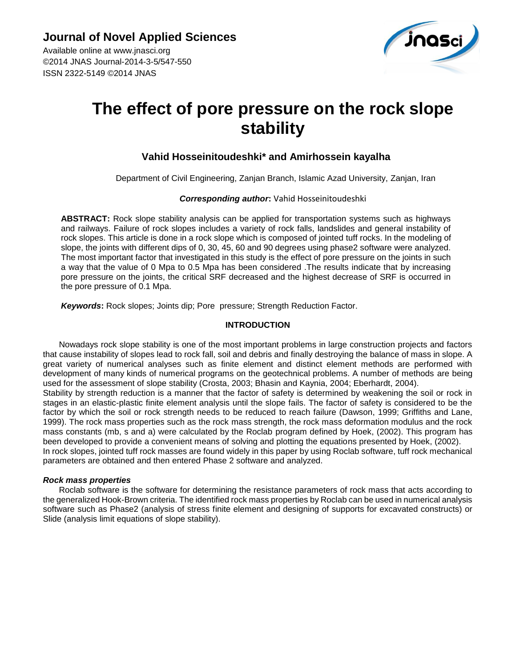Available online at [www.jnasci.o](http://www.jnasci./)rg ©2014 JNAS Journal-2014-3-5/547-550 ISSN 2322-5149 ©2014 JNAS



# **The effect of pore pressure on the rock slope stability**

# **Vahid Hosseinitoudeshki\* and Amirhossein kayalha**

Department of Civil Engineering, Zanjan Branch, Islamic Azad University, Zanjan, Iran

## *Corresponding author***:** Vahid Hosseinitoudeshki

**ABSTRACT:** Rock slope stability analysis can be applied for transportation systems such as highways and railways. Failure of rock slopes includes a variety of rock falls, landslides and general instability of rock slopes. This article is done in a rock slope which is composed of jointed tuff rocks. In the modeling of slope, the joints with different dips of 0, 30, 45, 60 and 90 degrees using phase2 software were analyzed. The most important factor that investigated in this study is the effect of pore pressure on the joints in such a way that the value of 0 Mpa to 0.5 Mpa has been considered .The results indicate that by increasing pore pressure on the joints, the critical SRF decreased and the highest decrease of SRF is occurred in the pore pressure of 0.1 Mpa.

*Keywords***:** Rock slopes; Joints dip; Pore pressure; Strength Reduction Factor.

## **INTRODUCTION**

Nowadays rock slope stability is one of the most important problems in large construction projects and factors that cause instability of slopes lead to rock fall, soil and debris and finally destroying the balance of mass in slope. A great variety of numerical analyses such as finite element and distinct element methods are performed with development of many kinds of numerical programs on the geotechnical problems. A number of methods are being used for the assessment of slope stability (Crosta, 2003; Bhasin and Kaynia, 2004; Eberhardt, 2004).

Stability by strength reduction is a manner that the factor of safety is determined by weakening the soil or rock in stages in an elastic-plastic finite element analysis until the slope fails. The factor of safety is considered to be the factor by which the soil or rock strength needs to be reduced to reach failure (Dawson, 1999; Griffiths and Lane, 1999). The rock mass properties such as the rock mass strength, the rock mass deformation modulus and the rock mass constants (mb, s and a) were calculated by the Roclab program defined by Hoek, (2002). This program has been developed to provide a convenient means of solving and plotting the equations presented by Hoek, (2002). In rock slopes, jointed tuff rock masses are found widely in this paper by using Roclab software, tuff rock mechanical parameters are obtained and then entered Phase 2 software and analyzed.

#### *Rock mass properties*

Roclab software is the software for determining the resistance parameters of rock mass that acts according to the generalized Hook-Brown criteria. The identified rock mass properties by Roclab can be used in numerical analysis software such as Phase2 (analysis of stress finite element and designing of supports for excavated constructs) or Slide (analysis limit equations of slope stability).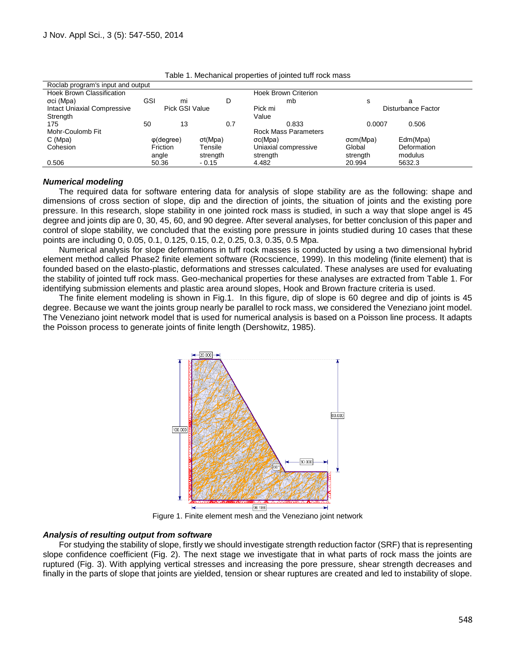| Roclab program's input and output  |                    |    |          |                             |                    |             |
|------------------------------------|--------------------|----|----------|-----------------------------|--------------------|-------------|
| <b>Hoek Brown Classification</b>   |                    |    |          | <b>Hoek Brown Criterion</b> |                    |             |
| σci (Mpa)                          | GSI                | mi | D        | mb                          | s                  | a           |
| <b>Intact Uniaxial Compressive</b> | Pick GSI Value     |    |          | Pick mi                     | Disturbance Factor |             |
| Strength                           |                    |    |          | Value                       |                    |             |
| 175                                | 50                 | 13 | 0.7      | 0.833                       | 0.0007             | 0.506       |
| Mohr-Coulomb Fit                   |                    |    |          | <b>Rock Mass Parameters</b> |                    |             |
| C (Mpa)                            | $\varphi$ (degree) |    | σt(Mpa)  | $\sigma c(Mpa)$             | σcm(Mpa)           | Edm(Mpa)    |
| Cohesion                           | Friction           |    | Tensile  | Uniaxial compressive        | Global             | Deformation |
|                                    | angle              |    | strength | strength                    | strength           | modulus     |
| 0.506                              | 50.36              |    | $-0.15$  | 4.482                       | 20.994             | 5632.3      |

Table 1. Mechanical properties of jointed tuff rock mass

#### *Numerical modeling*

The required data for software entering data for analysis of slope stability are as the following: shape and dimensions of cross section of slope, dip and the direction of joints, the situation of joints and the existing pore pressure. In this research, slope stability in one jointed rock mass is studied, in such a way that slope angel is 45 degree and joints dip are 0, 30, 45, 60, and 90 degree. After several analyses, for better conclusion of this paper and control of slope stability, we concluded that the existing pore pressure in joints studied during 10 cases that these points are including 0, 0.05, 0.1, 0.125, 0.15, 0.2, 0.25, 0.3, 0.35, 0.5 Mpa.

Numerical analysis for slope deformations in tuff rock masses is conducted by using a two dimensional hybrid element method called Phase2 finite element software (Rocscience, 1999). In this modeling (finite element) that is founded based on the elasto-plastic, deformations and stresses calculated. These analyses are used for evaluating the stability of jointed tuff rock mass. Geo-mechanical properties for these analyses are extracted from Table 1. For identifying submission elements and plastic area around slopes, Hook and Brown fracture criteria is used.

The finite element modeling is shown in Fig.1. In this figure, dip of slope is 60 degree and dip of joints is 45 degree. Because we want the joints group nearly be parallel to rock mass, we considered the Veneziano joint model. The Veneziano joint network model that is used for numerical analysis is based on a Poisson line process. It adapts the Poisson process to generate joints of finite length (Dershowitz, 1985).



Figure 1. Finite element mesh and the Veneziano joint network

#### *Analysis of resulting output from software*

For studying the stability of slope, firstly we should investigate strength reduction factor (SRF) that is representing slope confidence coefficient (Fig. 2). The next stage we investigate that in what parts of rock mass the joints are ruptured (Fig. 3). With applying vertical stresses and increasing the pore pressure, shear strength decreases and finally in the parts of slope that joints are yielded, tension or shear ruptures are created and led to instability of slope.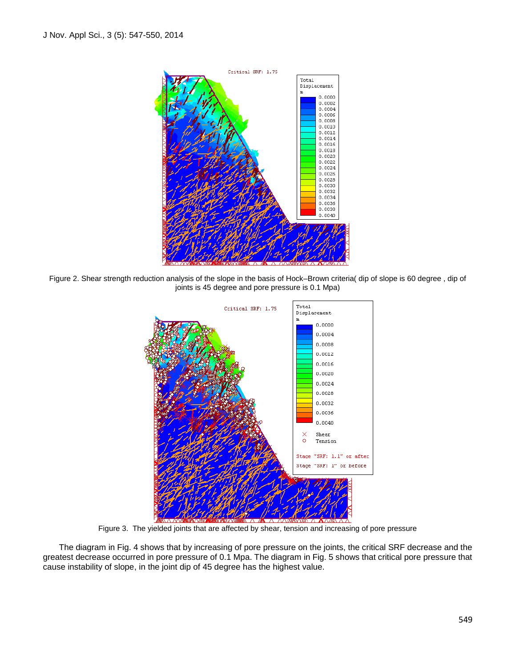

Figure 2. Shear strength reduction analysis of the slope in the basis of Hock–Brown criteria( dip of slope is 60 degree , dip of joints is 45 degree and pore pressure is 0.1 Mpa)



Figure 3. The yielded joints that are affected by shear, tension and increasing of pore pressure

The diagram in Fig. 4 shows that by increasing of pore pressure on the joints, the critical SRF decrease and the greatest decrease occurred in pore pressure of 0.1 Mpa. The diagram in Fig. 5 shows that critical pore pressure that cause instability of slope, in the joint dip of 45 degree has the highest value.